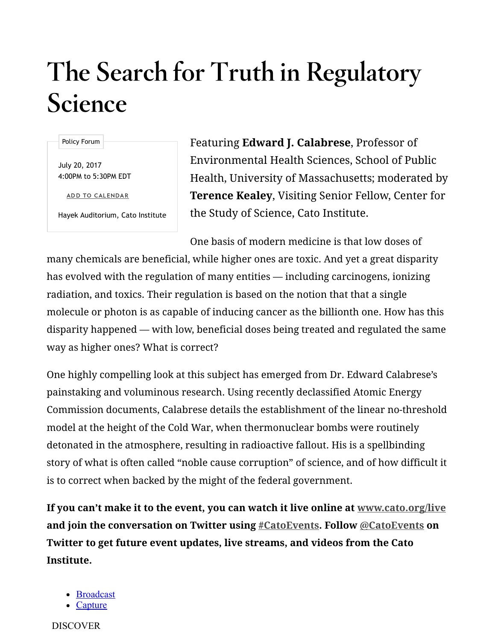## The Search for Truth in Regulatory Science

Policy Forum

July 20, 2017 4:00PM to 5:30PM EDT

ADD TO CALENDAR

Hayek Auditorium, Cato Institute

Featuring Edward J. Calabrese, Professor of Environmental Health Sciences, School of Public Health, University of Massachusetts; moderated by Terence Kealey, Visiting Senior Fellow, Center for the Study of Science, Cato Institute.

One basis of modern medicine is that low doses of

many chemicals are beneficial, while higher ones are toxic. And yet a great disparity has evolved with the regulation of many entities — including carcinogens, ionizing radiation, and toxics. Their regulation is based on the notion that that a single molecule or photon is as capable of inducing cancer as the billionth one. How has this disparity happened — with low, beneficial doses being treated and regulated the same way as higher ones? What is correct?

One highly compelling look at this subject has emerged from Dr. Edward Calabrese's painstaking and voluminous research. Using recently declassified Atomic Energy Commission documents, Calabrese details the establishment of the linear no-threshold model at the height of the Cold War, when thermonuclear bombs were routinely detonated in the atmosphere, resulting in radioactive fallout. His is a spellbinding story of what is often called "noble cause corruption" of science, and of how difficult it is to correct when backed by the might of the federal government.

If you can't make it to the event, you can watch it live online at [www.cato.org/live](https://www.cato.org/live) and join the conversation on Twitter using [#CatoEvents](https://twitter.com/hashtag/CatoEvents). Follow [@CatoEvents](https://twitter.com/catoevents) on Twitter to get future event updates, live streams, and videos from the Cato Institute.

- [Broadcast](https://livestream.com/)
- **[Capture](https://livestream.com/capture)**

DISCOVER